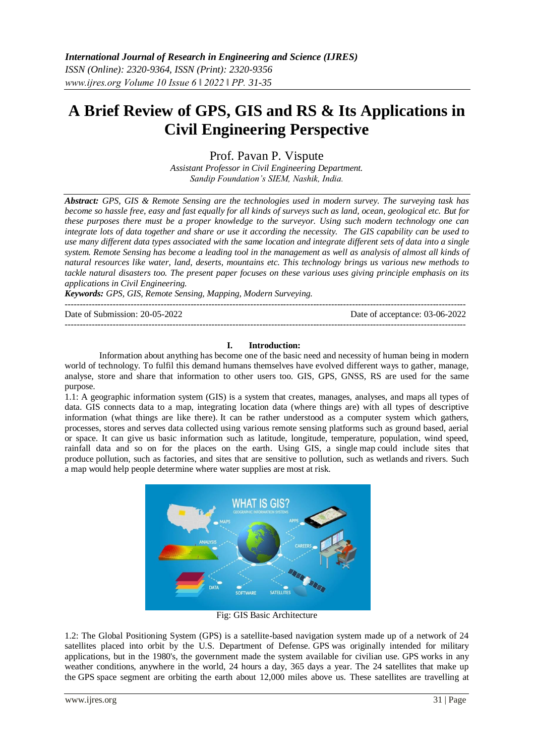# **A Brief Review of GPS, GIS and RS & Its Applications in Civil Engineering Perspective**

Prof. Pavan P. Vispute

*Assistant Professor in Civil Engineering Department. Sandip Foundation's SIEM, Nashik, India.*

*Abstract: GPS, GIS & Remote Sensing are the technologies used in modern survey. The surveying task has become so hassle free, easy and fast equally for all kinds of surveys such as land, ocean, geological etc. But for these purposes there must be a proper knowledge to the surveyor. Using such modern technology one can integrate lots of data together and share or use it according the necessity. The GIS capability can be used to use many different data types associated with the same location and integrate different sets of data into a single system. Remote Sensing has become a leading tool in the management as well as analysis of almost all kinds of natural resources like water, land, deserts, mountains etc. This technology brings us various new methods to tackle natural disasters too. The present paper focuses on these various uses giving principle emphasis on its applications in Civil Engineering.* 

*Keywords: GPS, GIS, Remote Sensing, Mapping, Modern Surveying.*

-------------------------------------------------------------------------------------------------------------------------------------- Date of Submission: 20-05-2022 Date of acceptance: 03-06-2022

--------------------------------------------------------------------------------------------------------------------------------------

## **I. Introduction:**

Information about anything has become one of the basic need and necessity of human being in modern world of technology. To fulfil this demand humans themselves have evolved different ways to gather, manage, analyse, store and share that information to other users too. GIS, GPS, GNSS, RS are used for the same purpose.

1.1: A geographic information system (GIS) is a system that creates, manages, analyses, and maps all types of data. GIS connects data to a map, integrating location data (where things are) with all types of descriptive information (what things are like there). It can be rather understood as a computer system which gathers, processes, stores and serves data collected using various remote sensing platforms such as ground based, aerial or space. It can give us basic information such as latitude, longitude, temperature, population, wind speed, rainfall data and so on for the places on the earth. Using GIS, a single map could include sites that produce pollution, such as factories, and sites that are sensitive to pollution, such as wetlands and rivers. Such a map would help people determine where water supplies are most at risk.



Fig: GIS Basic Architecture

1.2: The Global Positioning System (GPS) is a satellite-based navigation system made up of a network of 24 satellites placed into orbit by the U.S. Department of Defense. GPS was originally intended for military applications, but in the 1980's, the government made the system available for civilian use. GPS works in any weather conditions, anywhere in the world, 24 hours a day, 365 days a year. The 24 satellites that make up the GPS space segment are orbiting the earth about 12,000 miles above us. These satellites are travelling at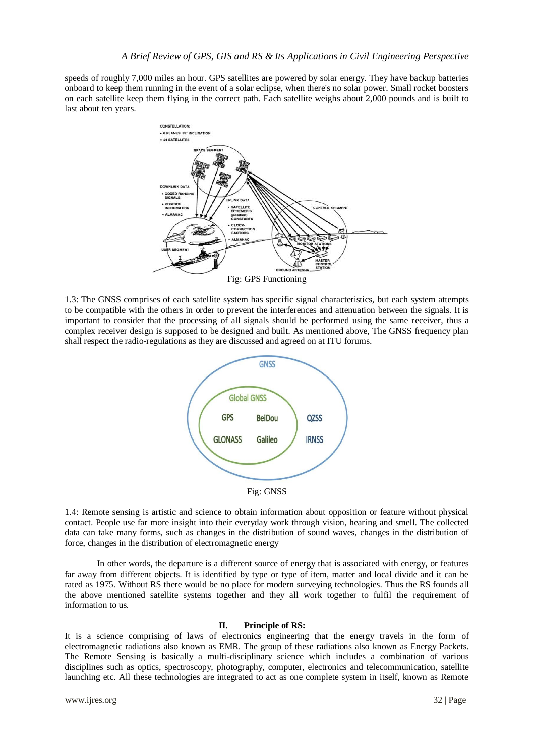speeds of roughly 7,000 miles an hour. GPS satellites are powered by solar energy. They have backup batteries onboard to keep them running in the event of a solar eclipse, when there's no solar power. Small rocket boosters on each satellite keep them flying in the correct path. Each satellite weighs about 2,000 pounds and is built to last about ten years.



1.3: The GNSS comprises of each satellite system has specific signal characteristics, but each system attempts to be compatible with the others in order to prevent the interferences and attenuation between the signals. It is important to consider that the processing of all signals should be performed using the same receiver, thus a complex receiver design is supposed to be designed and built. As mentioned above, The GNSS frequency plan shall respect the radio-regulations as they are discussed and agreed on at ITU forums.



Fig: GNSS

1.4: Remote sensing is artistic and science to obtain information about opposition or feature without physical contact. People use far more insight into their everyday work through vision, hearing and smell. The collected data can take many forms, such as changes in the distribution of sound waves, changes in the distribution of force, changes in the distribution of electromagnetic energy

In other words, the departure is a different source of energy that is associated with energy, or features far away from different objects. It is identified by type or type of item, matter and local divide and it can be rated as 1975. Without RS there would be no place for modern surveying technologies. Thus the RS founds all the above mentioned satellite systems together and they all work together to fulfil the requirement of information to us.

## **II. Principle of RS:**

It is a science comprising of laws of electronics engineering that the energy travels in the form of electromagnetic radiations also known as EMR. The group of these radiations also known as Energy Packets. The Remote Sensing is basically a multi-disciplinary science which includes a combination of various disciplines such as optics, spectroscopy, photography, computer, electronics and telecommunication, satellite launching etc. All these technologies are integrated to act as one complete system in itself, known as Remote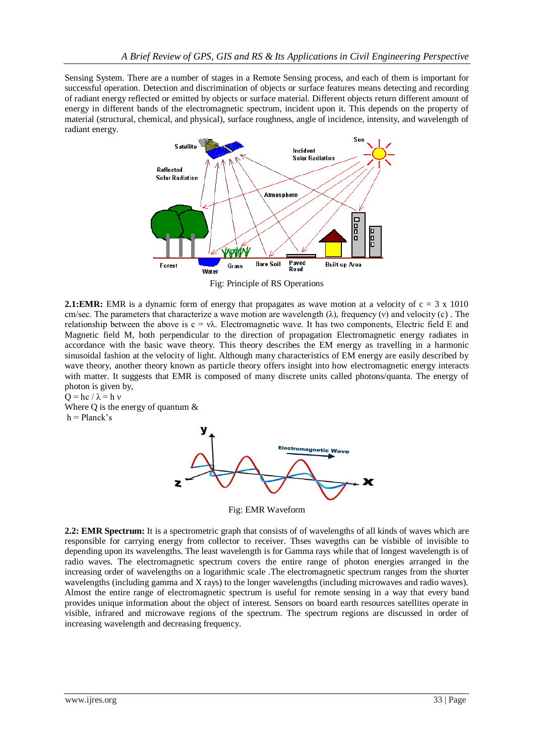Sensing System. There are a number of stages in a Remote Sensing process, and each of them is important for successful operation. Detection and discrimination of objects or surface features means detecting and recording of radiant energy reflected or emitted by objects or surface material. Different objects return different amount of energy in different bands of the electromagnetic spectrum, incident upon it. This depends on the property of material (structural, chemical, and physical), surface roughness, angle of incidence, intensity, and wavelength of radiant energy.



Fig: Principle of RS Operations

**2.1:EMR:** EMR is a dynamic form of energy that propagates as wave motion at a velocity of  $c = 3 \times 1010$ cm/sec. The parameters that characterize a wave motion are wavelength  $(\lambda)$ , frequency (v) and velocity (c). The relationship between the above is  $c = v\lambda$ . Electromagnetic wave. It has two components, Electric field E and Magnetic field M, both perpendicular to the direction of propagation Electromagnetic energy radiates in accordance with the basic wave theory. This theory describes the EM energy as travelling in a harmonic sinusoidal fashion at the velocity of light. Although many characteristics of EM energy are easily described by wave theory, another theory known as particle theory offers insight into how electromagnetic energy interacts with matter. It suggests that EMR is composed of many discrete units called photons/quanta. The energy of photon is given by,

 $Q = hc / \lambda = h v$ Where Q is the energy of quantum  $\&$  $h = Planck's$ 



Fig: EMR Waveform

**2.2: EMR Spectrum:** It is a spectrometric graph that consists of of wavelengths of all kinds of waves which are responsible for carrying energy from collector to receiver. Thses wavegths can be visbible of invisible to depending upon its wavelengths. The least wavelength is for Gamma rays while that of longest wavelength is of radio waves. The electromagnetic spectrum covers the entire range of photon energies arranged in the increasing order of wavelengths on a logarithmic scale .The electromagnetic spectrum ranges from the shorter wavelengths (including gamma and X rays) to the longer wavelengths (including microwaves and radio waves). Almost the entire range of electromagnetic spectrum is useful for remote sensing in a way that every band provides unique information about the object of interest. Sensors on board earth resources satellites operate in visible, infrared and microwave regions of the spectrum. The spectrum regions are discussed in order of increasing wavelength and decreasing frequency.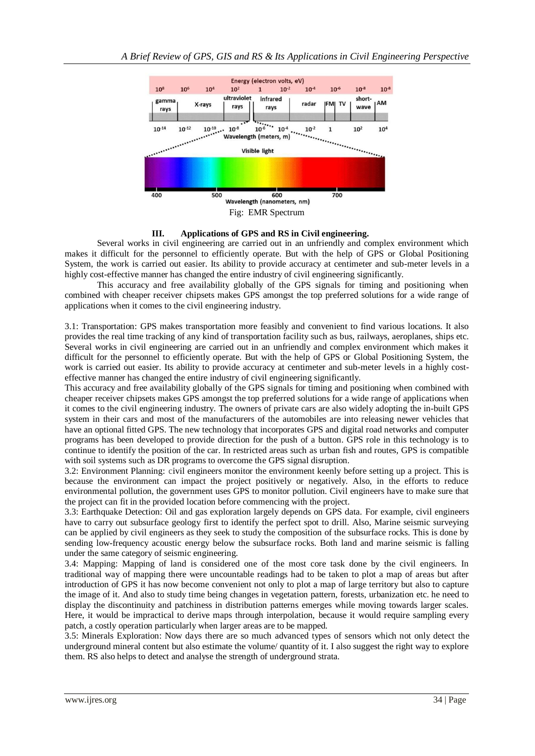

## **III. Applications of GPS and RS in Civil engineering.**

Several works in civil engineering are carried out in an unfriendly and complex environment which makes it difficult for the personnel to efficiently operate. But with the help of GPS or Global Positioning System, the work is carried out easier. Its ability to provide accuracy at centimeter and sub-meter levels in a highly cost-effective manner has changed the entire industry of civil engineering significantly.

This accuracy and free availability globally of the GPS signals for timing and positioning when combined with cheaper receiver chipsets makes GPS amongst the top preferred solutions for a wide range of applications when it comes to the civil engineering industry.

3.1: Transportation: GPS makes transportation more feasibly and convenient to find various locations. It also provides the real time tracking of any kind of transportation facility such as bus, railways, aeroplanes, ships etc. Several works in civil engineering are carried out in an unfriendly and complex environment which makes it difficult for the personnel to efficiently operate. But with the help of GPS or Global Positioning System, the work is carried out easier. Its ability to provide accuracy at centimeter and sub-meter levels in a highly costeffective manner has changed the entire industry of civil engineering significantly.

This accuracy and free availability globally of the GPS signals for timing and positioning when combined with cheaper receiver chipsets makes GPS amongst the top preferred solutions for a wide range of applications when it comes to the civil engineering industry. The owners of private cars are also widely adopting the in-built GPS system in their cars and most of the manufacturers of the automobiles are into releasing newer vehicles that have an optional fitted GPS. The new technology that incorporates GPS and digital road networks and computer programs has been developed to provide direction for the push of a button. GPS role in this technology is to continue to identify the position of the car. In restricted areas such as urban fish and routes, GPS is compatible with soil systems such as DR programs to overcome the GPS signal disruption.

3.2: Environment Planning: civil engineers monitor the environment keenly before setting up a project. This is because the environment can impact the project positively or negatively. Also, in the efforts to reduce environmental pollution, the government uses GPS to monitor pollution. Civil engineers have to make sure that the project can fit in the provided location before commencing with the project.

3.3: Earthquake Detection: Oil and gas exploration largely depends on GPS data. For example, civil engineers have to carry out subsurface geology first to identify the perfect spot to drill. Also, Marine seismic surveying can be applied by civil engineers as they seek to study the composition of the subsurface rocks. This is done by sending low-frequency acoustic energy below the subsurface rocks. Both land and marine seismic is falling under the same category of seismic engineering.

3.4: Mapping: Mapping of land is considered one of the most core task done by the civil engineers. In traditional way of mapping there were uncountable readings had to be taken to plot a map of areas but after introduction of GPS it has now become convenient not only to plot a map of large territory but also to capture the image of it. And also to study time being changes in vegetation pattern, forests, urbanization etc. he need to display the discontinuity and patchiness in distribution patterns emerges while moving towards larger scales. Here, it would be impractical to derive maps through interpolation, because it would require sampling every patch, a costly operation particularly when larger areas are to be mapped.

3.5: Minerals Exploration: Now days there are so much advanced types of sensors which not only detect the underground mineral content but also estimate the volume/ quantity of it. I also suggest the right way to explore them. RS also helps to detect and analyse the strength of underground strata.